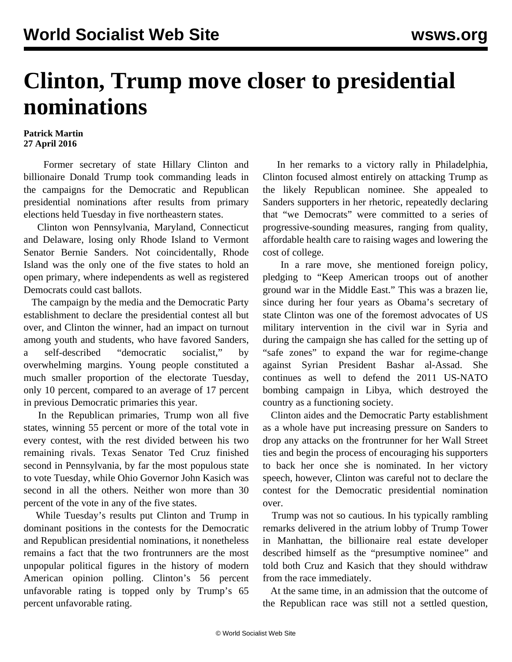## **Clinton, Trump move closer to presidential nominations**

## **Patrick Martin 27 April 2016**

 Former secretary of state Hillary Clinton and billionaire Donald Trump took commanding leads in the campaigns for the Democratic and Republican presidential nominations after results from primary elections held Tuesday in five northeastern states.

 Clinton won Pennsylvania, Maryland, Connecticut and Delaware, losing only Rhode Island to Vermont Senator Bernie Sanders. Not coincidentally, Rhode Island was the only one of the five states to hold an open primary, where independents as well as registered Democrats could cast ballots.

 The campaign by the media and the Democratic Party establishment to declare the presidential contest all but over, and Clinton the winner, had an impact on turnout among youth and students, who have favored Sanders, a self-described "democratic socialist," by overwhelming margins. Young people constituted a much smaller proportion of the electorate Tuesday, only 10 percent, compared to an average of 17 percent in previous Democratic primaries this year.

 In the Republican primaries, Trump won all five states, winning 55 percent or more of the total vote in every contest, with the rest divided between his two remaining rivals. Texas Senator Ted Cruz finished second in Pennsylvania, by far the most populous state to vote Tuesday, while Ohio Governor John Kasich was second in all the others. Neither won more than 30 percent of the vote in any of the five states.

 While Tuesday's results put Clinton and Trump in dominant positions in the contests for the Democratic and Republican presidential nominations, it nonetheless remains a fact that the two frontrunners are the most unpopular political figures in the history of modern American opinion polling. Clinton's 56 percent unfavorable rating is topped only by Trump's 65 percent unfavorable rating.

 In her remarks to a victory rally in Philadelphia, Clinton focused almost entirely on attacking Trump as the likely Republican nominee. She appealed to Sanders supporters in her rhetoric, repeatedly declaring that "we Democrats" were committed to a series of progressive-sounding measures, ranging from quality, affordable health care to raising wages and lowering the cost of college.

 In a rare move, she mentioned foreign policy, pledging to "Keep American troops out of another ground war in the Middle East." This was a brazen lie, since during her four years as Obama's secretary of state Clinton was one of the foremost advocates of US military intervention in the civil war in Syria and during the campaign she has called for the setting up of "safe zones" to expand the war for regime-change against Syrian President Bashar al-Assad. She continues as well to defend the 2011 US-NATO bombing campaign in Libya, which destroyed the country as a functioning society.

 Clinton aides and the Democratic Party establishment as a whole have put increasing pressure on Sanders to drop any attacks on the frontrunner for her Wall Street ties and begin the process of encouraging his supporters to back her once she is nominated. In her victory speech, however, Clinton was careful not to declare the contest for the Democratic presidential nomination over.

 Trump was not so cautious. In his typically rambling remarks delivered in the atrium lobby of Trump Tower in Manhattan, the billionaire real estate developer described himself as the "presumptive nominee" and told both Cruz and Kasich that they should withdraw from the race immediately.

 At the same time, in an admission that the outcome of the Republican race was still not a settled question,